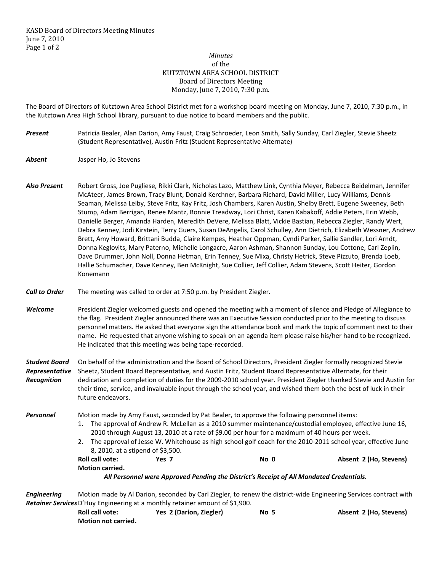## *Minutes*  of the KUTZTOWN AREA SCHOOL DISTRICT Board of Directors Meeting Monday, June 7, 2010, 7:30 p.m.

The Board of Directors of Kutztown Area School District met for a workshop board meeting on Monday, June 7, 2010, 7:30 p.m., in the Kutztown Area High School library, pursuant to due notice to board members and the public.

- *Present* Patricia Bealer, Alan Darion, Amy Faust, Craig Schroeder, Leon Smith, Sally Sunday, Carl Ziegler, Stevie Sheetz (Student Representative), Austin Fritz (Student Representative Alternate)
- *Absent* Jasper Ho, Jo Stevens
- *Also Present* Robert Gross, Joe Pugliese, Rikki Clark, Nicholas Lazo, Matthew Link, Cynthia Meyer, Rebecca Beidelman, Jennifer McAteer, James Brown, Tracy Blunt, Donald Kerchner, Barbara Richard, David Miller, Lucy Williams, Dennis Seaman, Melissa Leiby, Steve Fritz, Kay Fritz, Josh Chambers, Karen Austin, Shelby Brett, Eugene Sweeney, Beth Stump, Adam Berrigan, Renee Mantz, Bonnie Treadway, Lori Christ, Karen Kabakoff, Addie Peters, Erin Webb, Danielle Berger, Amanda Harden, Meredith DeVere, Melissa Blatt, Vickie Bastian, Rebecca Ziegler, Randy Wert, Debra Kenney, Jodi Kirstein, Terry Guers, Susan DeAngelis, Carol Schulley, Ann Dietrich, Elizabeth Wessner, Andrew Brett, Amy Howard, Brittani Budda, Claire Kempes, Heather Oppman, Cyndi Parker, Sallie Sandler, Lori Arndt, Donna Keglovits, Mary Paterno, Michelle Longacre, Aaron Ashman, Shannon Sunday, Lou Cottone, Carl Zeplin, Dave Drummer, John Noll, Donna Hetman, Erin Tenney, Sue Mixa, Christy Hetrick, Steve Pizzuto, Brenda Loeb, Hallie Schumacher, Dave Kenney, Ben McKnight, Sue Collier, Jeff Collier, Adam Stevens, Scott Heiter, Gordon Konemann
- *Call to Order* The meeting was called to order at 7:50 p.m. by President Ziegler.

*Welcome* President Ziegler welcomed guests and opened the meeting with a moment of silence and Pledge of Allegiance to the flag. President Ziegler announced there was an Executive Session conducted prior to the meeting to discuss personnel matters. He asked that everyone sign the attendance book and mark the topic of comment next to their name. He requested that anyone wishing to speak on an agenda item please raise his/her hand to be recognized. He indicated that this meeting was being tape-recorded.

*Student Board* On behalf of the administration and the Board of School Directors, President Ziegler formally recognized Stevie *Representative* Sheetz, Student Board Representative, and Austin Fritz, Student Board Representative Alternate, for their *Recognition* dedication and completion of duties for the 2009-2010 school year. President Ziegler thanked Stevie and Austin for their time, service, and invaluable input through the school year, and wished them both the best of luck in their future endeavors.

**Personnel** Motion made by Amy Faust, seconded by Pat Bealer, to approve the following personnel items:

- 1. The approval of Andrew R. McLellan as a 2010 summer maintenance/custodial employee, effective June 16, 2010 through August 13, 2010 at a rate of \$9.00 per hour for a maximum of 40 hours per week.
- 2. The approval of Jesse W. Whitehouse as high school golf coach for the 2010-2011 school year, effective June 8, 2010, at a stipend of \$3,500.
- Roll call vote: **Yes 7** No 0 **Absent 2 (Ho, Stevens) Roll** call vote: **Motion carried.**

*All Personnel were Approved Pending the District's Receipt of All Mandated Credentials.*

*Engineering* Motion made by Al Darion, seconded by Carl Ziegler, to renew the district-wide Engineering Services contract with *Retainer Services* D'Huy Engineering at a monthly retainer amount of \$1,900.

| <b>Roll call vote:</b>     | Yes 2 (Darion, Ziegler) | No 5 | Absent 2 (Ho, Stevens) |
|----------------------------|-------------------------|------|------------------------|
| <b>Motion not carried.</b> |                         |      |                        |